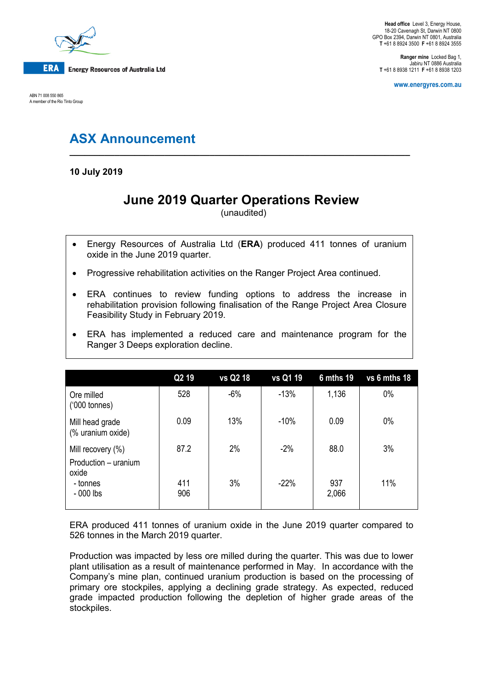

ABN 71 008 550 865 A member of the Rio Tinto Group

**Ranger mine** Locked Bag 1, Jabiru NT 0886 Australia **T** +61 8 8938 1211 **F** +61 8 8938 1203

**www.energyres.com.au**

# **ASX Announcement**

**10 July 2019**

## **June 2019 Quarter Operations Review**

**\_\_\_\_\_\_\_\_\_\_\_\_\_\_\_\_\_\_\_\_\_\_\_\_\_\_\_\_\_\_\_\_\_\_\_\_\_\_\_\_\_\_\_\_\_\_\_\_\_\_\_\_\_\_\_\_\_\_\_\_\_\_\_\_\_\_\_\_**

(unaudited)

- Energy Resources of Australia Ltd (**ERA**) produced 411 tonnes of uranium oxide in the June 2019 quarter.
- Progressive rehabilitation activities on the Ranger Project Area continued.
- ERA continues to review funding options to address the increase in rehabilitation provision following finalisation of the Range Project Area Closure Feasibility Study in February 2019.
- ERA has implemented a reduced care and maintenance program for the Ranger 3 Deeps exploration decline.

|                                                    | Q <sub>2</sub> 19 | vs Q2 18 | vs Q1 19 | 6 mths 19    | vs 6 mths 18 |
|----------------------------------------------------|-------------------|----------|----------|--------------|--------------|
| Ore milled<br>$(000 \text{ tonnes})$               | 528               | $-6%$    | $-13%$   | 1,136        | 0%           |
| Mill head grade<br>(% uranium oxide)               | 0.09              | 13%      | $-10%$   | 0.09         | $0\%$        |
| Mill recovery (%)<br>Production - uranium<br>oxide | 87.2              | 2%       | $-2%$    | 88.0         | 3%           |
| - tonnes<br>$-000$ lbs                             | 411<br>906        | 3%       | $-22%$   | 937<br>2,066 | 11%          |

ERA produced 411 tonnes of uranium oxide in the June 2019 quarter compared to 526 tonnes in the March 2019 quarter.

Production was impacted by less ore milled during the quarter. This was due to lower plant utilisation as a result of maintenance performed in May. In accordance with the Company's mine plan, continued uranium production is based on the processing of primary ore stockpiles, applying a declining grade strategy. As expected, reduced grade impacted production following the depletion of higher grade areas of the stockpiles.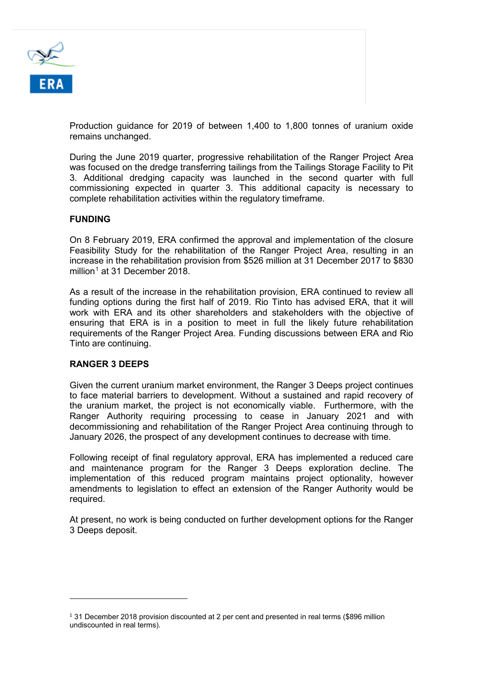

Production guidance for 2019 of between 1,400 to 1,800 tonnes of uranium oxide remains unchanged.

During the June 2019 quarter, progressive rehabilitation of the Ranger Project Area was focused on the dredge transferring tailings from the Tailings Storage Facility to Pit 3. Additional dredging capacity was launched in the second quarter with full commissioning expected in quarter 3. This additional capacity is necessary to complete rehabilitation activities within the regulatory timeframe.

### **FUNDING**

On 8 February 2019, ERA confirmed the approval and implementation of the closure Feasibility Study for the rehabilitation of the Ranger Project Area, resulting in an increase in the rehabilitation provision from \$526 million at 31 December 2017 to \$830 million<sup>[1](#page-1-0)</sup> at 31 December 2018.

As a result of the increase in the rehabilitation provision, ERA continued to review all funding options during the first half of 2019. Rio Tinto has advised ERA, that it will work with ERA and its other shareholders and stakeholders with the objective of ensuring that ERA is in a position to meet in full the likely future rehabilitation requirements of the Ranger Project Area. Funding discussions between ERA and Rio Tinto are continuing.

### **RANGER 3 DEEPS**

i<br>I

Given the current uranium market environment, the Ranger 3 Deeps project continues to face material barriers to development. Without a sustained and rapid recovery of the uranium market, the project is not economically viable. Furthermore, with the Ranger Authority requiring processing to cease in January 2021 and with decommissioning and rehabilitation of the Ranger Project Area continuing through to January 2026, the prospect of any development continues to decrease with time.

Following receipt of final regulatory approval, ERA has implemented a reduced care and maintenance program for the Ranger 3 Deeps exploration decline. The implementation of this reduced program maintains project optionality, however amendments to legislation to effect an extension of the Ranger Authority would be required.

At present, no work is being conducted on further development options for the Ranger 3 Deeps deposit.

<span id="page-1-0"></span> $131$  December 2018 provision discounted at 2 per cent and presented in real terms (\$896 million undiscounted in real terms).